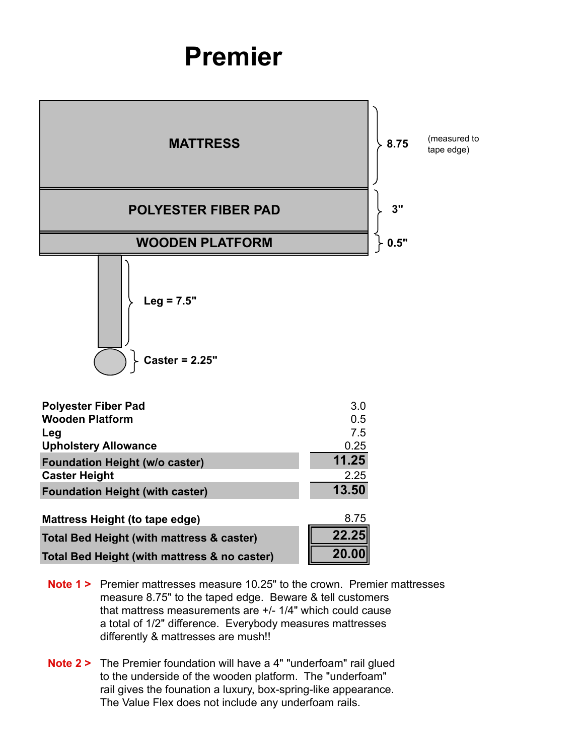## **Premier**



- **Note 1 >** Premier mattresses measure 10.25" to the crown. Premier mattresses measure 8.75" to the taped edge. Beware & tell customers that mattress measurements are +/- 1/4" which could cause a total of 1/2" difference. Everybody measures mattresses differently & mattresses are mush!!
- **Note 2 >** The Premier foundation will have a 4" "underfoam" rail glued to the underside of the wooden platform. The "underfoam" rail gives the founation a luxury, box-spring-like appearance. The Value Flex does not include any underfoam rails.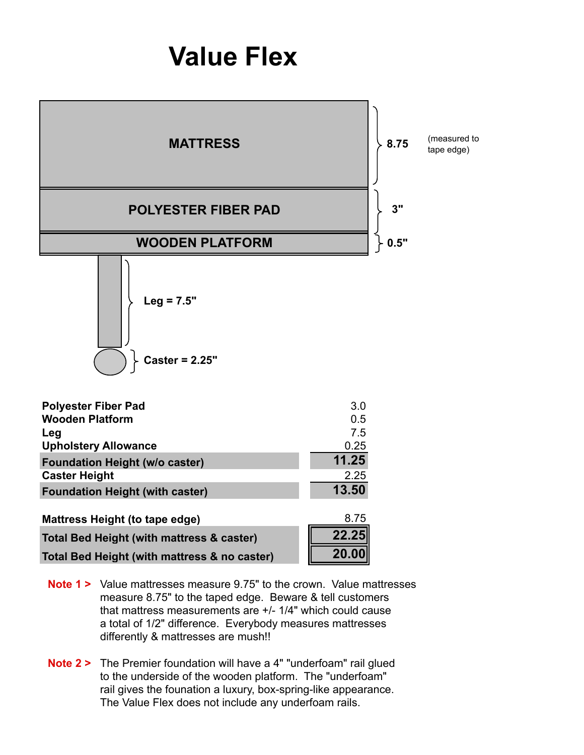## **Value Flex**



- **Note 1 >** Value mattresses measure 9.75" to the crown Value mattresses measure 8.75" to the taped edge. Beware & tell customers that mattress measurements are +/- 1/4" which could cause a total of 1/2" difference. Everybody measures mattresses differently & mattresses are mush!!
- **Note 2 >** The Premier foundation will have a 4" "underfoam" rail glued to the underside of the wooden platform. The "underfoam" rail gives the founation a luxury, box-spring-like appearance. The Value Flex does not include any underfoam rails.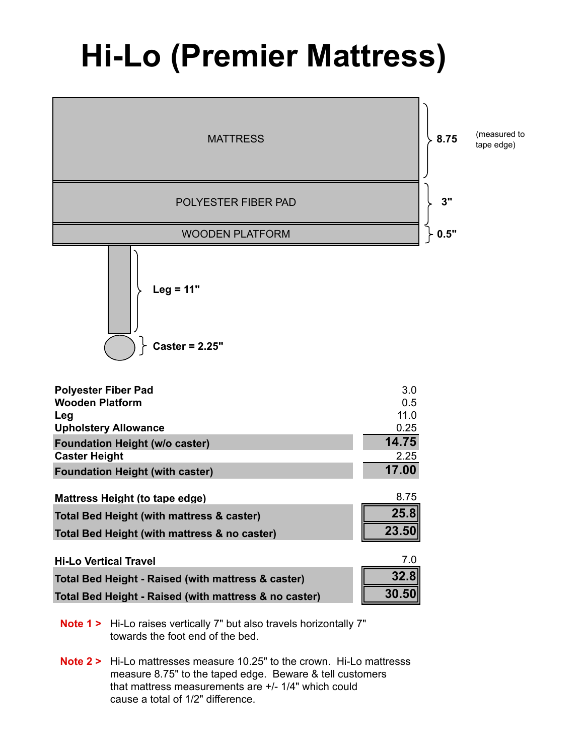## **Hi-Lo (Premier Mattress)**



**Note 1 >** Hi-Lo raises vertically 7" but also travels horizontally 7" towards the foot end of the bed.

**Note 2 >** Hi-Lo mattresses measure 10.25" to the crown. Hi-Lo mattresss measure 8.75" to the taped edge. Beware & tell customers that mattress measurements are +/- 1/4" which could cause a total of 1/2" difference.